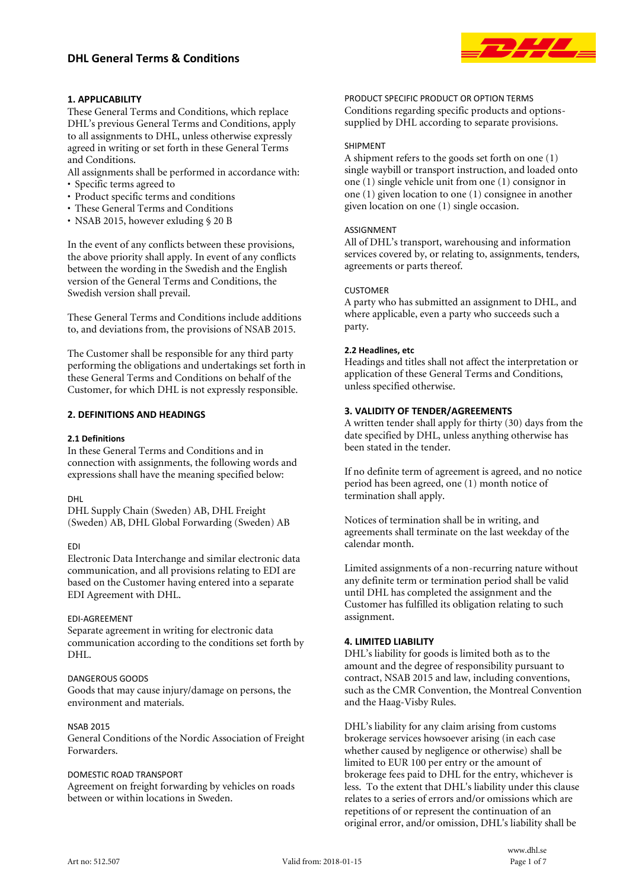

# **1. APPLICABILITY**

These General Terms and Conditions, which replace DHL's previous General Terms and Conditions, apply to all assignments to DHL, unless otherwise expressly agreed in writing or set forth in these General Terms and Conditions.

All assignments shall be performed in accordance with:

- Specific terms agreed to
- Product specific terms and conditions
- These General Terms and Conditions
- NSAB 2015, however exluding § 20 B

In the event of any conflicts between these provisions, the above priority shall apply. In event of any conflicts between the wording in the Swedish and the English version of the General Terms and Conditions, the Swedish version shall prevail.

These General Terms and Conditions include additions to, and deviations from, the provisions of NSAB 2015.

The Customer shall be responsible for any third party performing the obligations and undertakings set forth in these General Terms and Conditions on behalf of the Customer, for which DHL is not expressly responsible.

## **2. DEFINITIONS AND HEADINGS**

#### **2.1 Definitions**

In these General Terms and Conditions and in connection with assignments, the following words and expressions shall have the meaning specified below:

#### DHL

DHL Supply Chain (Sweden) AB, DHL Freight (Sweden) AB, DHL Global Forwarding (Sweden) AB

#### EDI

Electronic Data Interchange and similar electronic data communication, and all provisions relating to EDI are based on the Customer having entered into a separate EDI Agreement with DHL.

#### EDI-AGREEMENT

Separate agreement in writing for electronic data communication according to the conditions set forth by DHL.

### DANGEROUS GOODS

Goods that may cause injury/damage on persons, the environment and materials.

#### NSAB 2015

General Conditions of the Nordic Association of Freight Forwarders.

#### DOMESTIC ROAD TRANSPORT

Agreement on freight forwarding by vehicles on roads between or within locations in Sweden.

PRODUCT SPECIFIC PRODUCT OR OPTION TERMS Conditions regarding specific products and optionssupplied by DHL according to separate provisions.

#### SHIPMENT

A shipment refers to the goods set forth on one (1) single waybill or transport instruction, and loaded onto one (1) single vehicle unit from one (1) consignor in one (1) given location to one (1) consignee in another given location on one (1) single occasion.

### ASSIGNMENT

All of DHL's transport, warehousing and information services covered by, or relating to, assignments, tenders, agreements or parts thereof.

### CUSTOMER

A party who has submitted an assignment to DHL, and where applicable, even a party who succeeds such a party.

### **2.2 Headlines, etc**

Headings and titles shall not affect the interpretation or application of these General Terms and Conditions, unless specified otherwise.

## **3. VALIDITY OF TENDER/AGREEMENTS**

A written tender shall apply for thirty (30) days from the date specified by DHL, unless anything otherwise has been stated in the tender.

If no definite term of agreement is agreed, and no notice period has been agreed, one (1) month notice of termination shall apply.

Notices of termination shall be in writing, and agreements shall terminate on the last weekday of the calendar month.

Limited assignments of a non-recurring nature without any definite term or termination period shall be valid until DHL has completed the assignment and the Customer has fulfilled its obligation relating to such assignment.

## **4. LIMITED LIABILITY**

DHL's liability for goods is limited both as to the amount and the degree of responsibility pursuant to contract, NSAB 2015 and law, including conventions, such as the CMR Convention, the Montreal Convention and the Haag-Visby Rules.

DHL's liability for any claim arising from customs brokerage services howsoever arising (in each case whether caused by negligence or otherwise) shall be limited to EUR 100 per entry or the amount of brokerage fees paid to DHL for the entry, whichever is less. To the extent that DHL's liability under this clause relates to a series of errors and/or omissions which are repetitions of or represent the continuation of an original error, and/or omission, DHL's liability shall be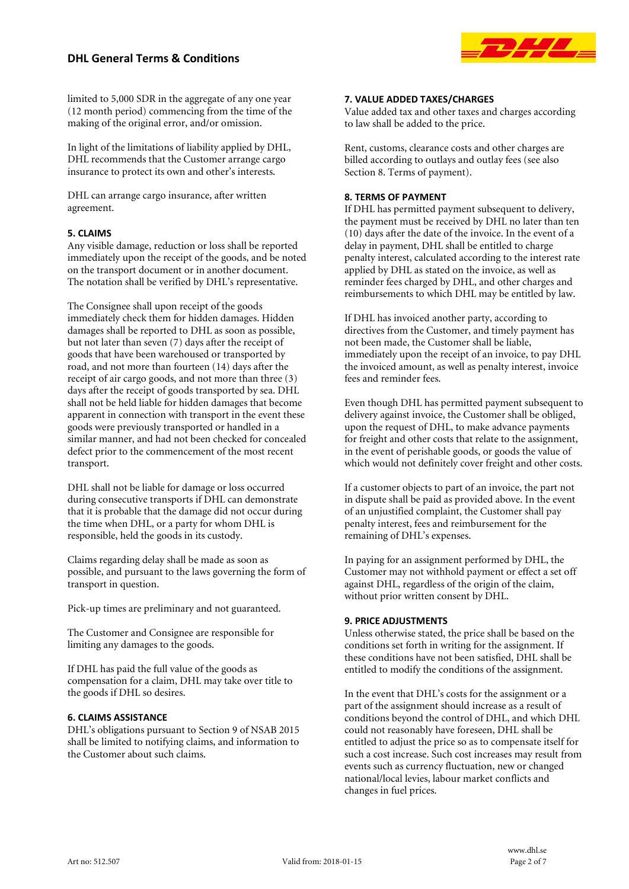# **DHL General Terms & Conditions**



limited to 5,000 SDR in the aggregate of any one year (12 month period) commencing from the time of the making of the original error, and/or omission.

In light of the limitations of liability applied by DHL, DHL recommends that the Customer arrange cargo insurance to protect its own and other's interests.

DHL can arrange cargo insurance, after written agreement.

## **5. CLAIMS**

Any visible damage, reduction or loss shall be reported immediately upon the receipt of the goods, and be noted on the transport document or in another document. The notation shall be verified by DHL's representative.

The Consignee shall upon receipt of the goods immediately check them for hidden damages. Hidden damages shall be reported to DHL as soon as possible, but not later than seven (7) days after the receipt of goods that have been warehoused or transported by road, and not more than fourteen (14) days after the receipt of air cargo goods, and not more than three (3) days after the receipt of goods transported by sea. DHL shall not be held liable for hidden damages that become apparent in connection with transport in the event these goods were previously transported or handled in a similar manner, and had not been checked for concealed defect prior to the commencement of the most recent transport.

DHL shall not be liable for damage or loss occurred during consecutive transports if DHL can demonstrate that it is probable that the damage did not occur during the time when DHL, or a party for whom DHL is responsible, held the goods in its custody.

Claims regarding delay shall be made as soon as possible, and pursuant to the laws governing the form of transport in question.

Pick-up times are preliminary and not guaranteed.

The Customer and Consignee are responsible for limiting any damages to the goods.

If DHL has paid the full value of the goods as compensation for a claim, DHL may take over title to the goods if DHL so desires.

## **6. CLAIMS ASSISTANCE**

DHL's obligations pursuant to Section 9 of NSAB 2015 shall be limited to notifying claims, and information to the Customer about such claims.

## **7. VALUE ADDED TAXES/CHARGES**

Value added tax and other taxes and charges according to law shall be added to the price.

Rent, customs, clearance costs and other charges are billed according to outlays and outlay fees (see also Section 8. Terms of payment).

## **8. TERMS OF PAYMENT**

If DHL has permitted payment subsequent to delivery, the payment must be received by DHL no later than ten (10) days after the date of the invoice. In the event of a delay in payment, DHL shall be entitled to charge penalty interest, calculated according to the interest rate applied by DHL as stated on the invoice, as well as reminder fees charged by DHL, and other charges and reimbursements to which DHL may be entitled by law.

If DHL has invoiced another party, according to directives from the Customer, and timely payment has not been made, the Customer shall be liable, immediately upon the receipt of an invoice, to pay DHL the invoiced amount, as well as penalty interest, invoice fees and reminder fees.

Even though DHL has permitted payment subsequent to delivery against invoice, the Customer shall be obliged, upon the request of DHL, to make advance payments for freight and other costs that relate to the assignment, in the event of perishable goods, or goods the value of which would not definitely cover freight and other costs.

If a customer objects to part of an invoice, the part not in dispute shall be paid as provided above. In the event of an unjustified complaint, the Customer shall pay penalty interest, fees and reimbursement for the remaining of DHL's expenses.

In paying for an assignment performed by DHL, the Customer may not withhold payment or effect a set off against DHL, regardless of the origin of the claim, without prior written consent by DHL.

## **9. PRICE ADJUSTMENTS**

Unless otherwise stated, the price shall be based on the conditions set forth in writing for the assignment. If these conditions have not been satisfied, DHL shall be entitled to modify the conditions of the assignment.

In the event that DHL's costs for the assignment or a part of the assignment should increase as a result of conditions beyond the control of DHL, and which DHL could not reasonably have foreseen, DHL shall be entitled to adjust the price so as to compensate itself for such a cost increase. Such cost increases may result from events such as currency fluctuation, new or changed national/local levies, labour market conflicts and changes in fuel prices.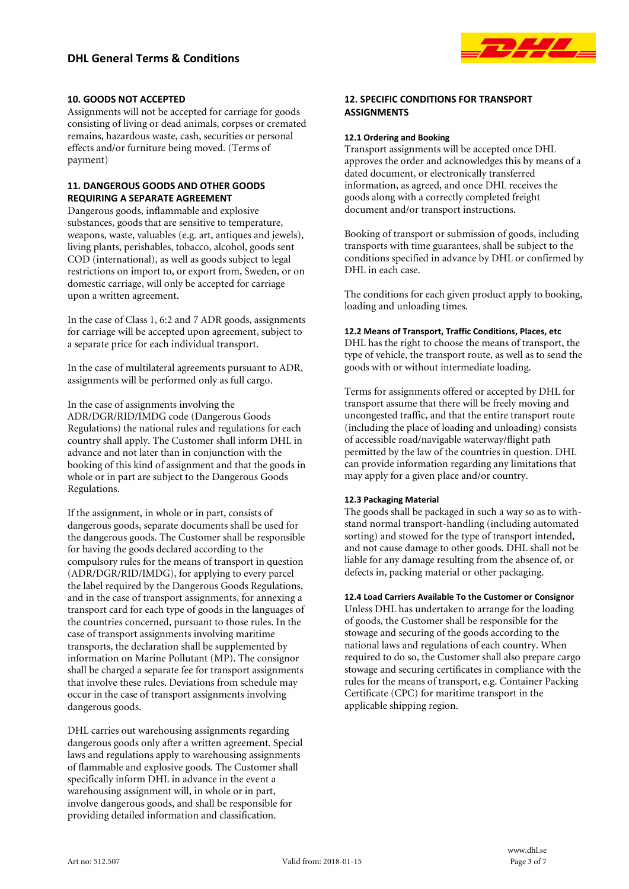

## **10. GOODS NOT ACCEPTED**

Assignments will not be accepted for carriage for goods consisting of living or dead animals, corpses or cremated remains, hazardous waste, cash, securities or personal effects and/or furniture being moved. (Terms of payment)

## **11. DANGEROUS GOODS AND OTHER GOODS REQUIRING A SEPARATE AGREEMENT**

Dangerous goods, inflammable and explosive substances, goods that are sensitive to temperature, weapons, waste, valuables (e.g. art, antiques and jewels), living plants, perishables, tobacco, alcohol, goods sent COD (international), as well as goods subject to legal restrictions on import to, or export from, Sweden, or on domestic carriage, will only be accepted for carriage upon a written agreement.

In the case of Class 1, 6:2 and 7 ADR goods, assignments for carriage will be accepted upon agreement, subject to a separate price for each individual transport.

In the case of multilateral agreements pursuant to ADR, assignments will be performed only as full cargo.

In the case of assignments involving the ADR/DGR/RID/IMDG code (Dangerous Goods Regulations) the national rules and regulations for each country shall apply. The Customer shall inform DHL in advance and not later than in conjunction with the booking of this kind of assignment and that the goods in whole or in part are subject to the Dangerous Goods Regulations.

If the assignment, in whole or in part, consists of dangerous goods, separate documents shall be used for the dangerous goods. The Customer shall be responsible for having the goods declared according to the compulsory rules for the means of transport in question (ADR/DGR/RID/IMDG), for applying to every parcel the label required by the Dangerous Goods Regulations, and in the case of transport assignments, for annexing a transport card for each type of goods in the languages of the countries concerned, pursuant to those rules. In the case of transport assignments involving maritime transports, the declaration shall be supplemented by information on Marine Pollutant (MP). The consignor shall be charged a separate fee for transport assignments that involve these rules. Deviations from schedule may occur in the case of transport assignments involving dangerous goods.

DHL carries out warehousing assignments regarding dangerous goods only after a written agreement. Special laws and regulations apply to warehousing assignments of flammable and explosive goods. The Customer shall specifically inform DHL in advance in the event a warehousing assignment will, in whole or in part, involve dangerous goods, and shall be responsible for providing detailed information and classification.

## **12. SPECIFIC CONDITIONS FOR TRANSPORT ASSIGNMENTS**

### **12.1 Ordering and Booking**

Transport assignments will be accepted once DHL approves the order and acknowledges this by means of a dated document, or electronically transferred information, as agreed, and once DHL receives the goods along with a correctly completed freight document and/or transport instructions.

Booking of transport or submission of goods, including transports with time guarantees, shall be subject to the conditions specified in advance by DHL or confirmed by DHL in each case.

The conditions for each given product apply to booking, loading and unloading times.

## **12.2 Means of Transport, Traffic Conditions, Places, etc**

DHL has the right to choose the means of transport, the type of vehicle, the transport route, as well as to send the goods with or without intermediate loading.

Terms for assignments offered or accepted by DHL for transport assume that there will be freely moving and uncongested traffic, and that the entire transport route (including the place of loading and unloading) consists of accessible road/navigable waterway/flight path permitted by the law of the countries in question. DHL can provide information regarding any limitations that may apply for a given place and/or country.

## **12.3 Packaging Material**

The goods shall be packaged in such a way so as to withstand normal transport-handling (including automated sorting) and stowed for the type of transport intended, and not cause damage to other goods. DHL shall not be liable for any damage resulting from the absence of, or defects in, packing material or other packaging.

**12.4 Load Carriers Available To the Customer or Consignor**

Unless DHL has undertaken to arrange for the loading of goods, the Customer shall be responsible for the stowage and securing of the goods according to the national laws and regulations of each country. When required to do so, the Customer shall also prepare cargo stowage and securing certificates in compliance with the rules for the means of transport, e.g. Container Packing Certificate (CPC) for maritime transport in the applicable shipping region.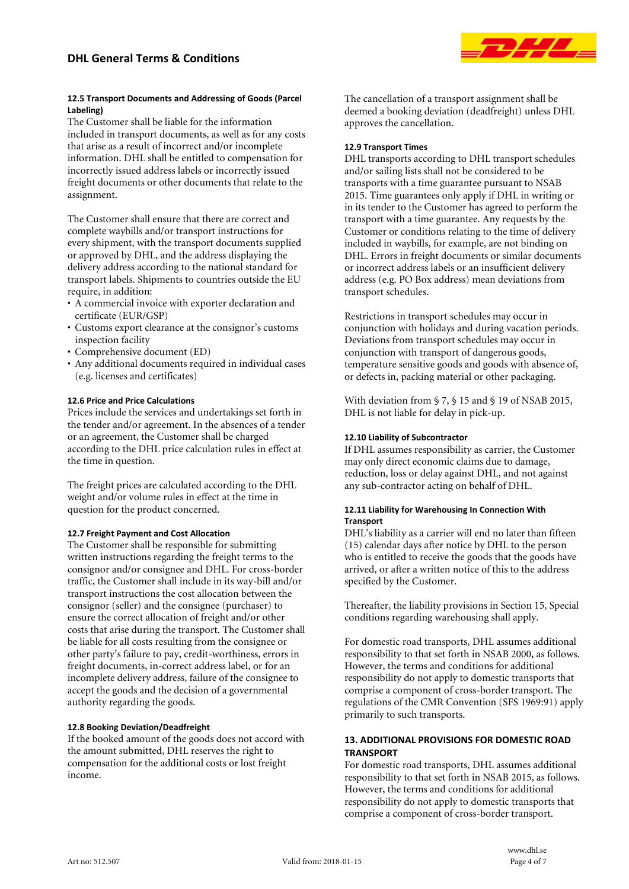

### **12.5 Transport Documents and Addressing of Goods (Parcel Labeling)**

The Customer shall be liable for the information included in transport documents, as well as for any costs that arise as a result of incorrect and/or incomplete information. DHL shall be entitled to compensation for incorrectly issued address labels or incorrectly issued freight documents or other documents that relate to the assignment.

The Customer shall ensure that there are correct and complete waybills and/or transport instructions for every shipment, with the transport documents supplied or approved by DHL, and the address displaying the delivery address according to the national standard for transport labels. Shipments to countries outside the EU require, in addition:

- A commercial invoice with exporter declaration and certificate (EUR/GSP)
- Customs export clearance at the consignor's customs inspection facility
- Comprehensive document (ED)
- Any additional documents required in individual cases (e.g. licenses and certificates)

## **12.6 Price and Price Calculations**

Prices include the services and undertakings set forth in the tender and/or agreement. In the absences of a tender or an agreement, the Customer shall be charged according to the DHL price calculation rules in effect at the time in question.

The freight prices are calculated according to the DHL weight and/or volume rules in effect at the time in question for the product concerned.

## **12.7 Freight Payment and Cost Allocation**

The Customer shall be responsible for submitting written instructions regarding the freight terms to the consignor and/or consignee and DHL. For cross-border traffic, the Customer shall include in its way-bill and/or transport instructions the cost allocation between the consignor (seller) and the consignee (purchaser) to ensure the correct allocation of freight and/or other costs that arise during the transport. The Customer shall be liable for all costs resulting from the consignee or other party's failure to pay, credit-worthiness, errors in freight documents, in-correct address label, or for an incomplete delivery address, failure of the consignee to accept the goods and the decision of a governmental authority regarding the goods.

## **12.8 Booking Deviation/Deadfreight**

If the booked amount of the goods does not accord with the amount submitted, DHL reserves the right to compensation for the additional costs or lost freight income.

The cancellation of a transport assignment shall be deemed a booking deviation (deadfreight) unless DHL approves the cancellation.

## **12.9 Transport Times**

DHL transports according to DHL transport schedules and/or sailing lists shall not be considered to be transports with a time guarantee pursuant to NSAB 2015. Time guarantees only apply if DHL in writing or in its tender to the Customer has agreed to perform the transport with a time guarantee. Any requests by the Customer or conditions relating to the time of delivery included in waybills, for example, are not binding on DHL. Errors in freight documents or similar documents or incorrect address labels or an insufficient delivery address (e.g. PO Box address) mean deviations from transport schedules.

Restrictions in transport schedules may occur in conjunction with holidays and during vacation periods. Deviations from transport schedules may occur in conjunction with transport of dangerous goods, temperature sensitive goods and goods with absence of, or defects in, packing material or other packaging.

With deviation from § 7, § 15 and § 19 of NSAB 2015, DHL is not liable for delay in pick-up.

## **12.10 Liability of Subcontractor**

If DHL assumes responsibility as carrier, the Customer may only direct economic claims due to damage, reduction, loss or delay against DHL, and not against any sub-contractor acting on behalf of DHL.

## **12.11 Liability for Warehousing In Connection With Transport**

DHL's liability as a carrier will end no later than fifteen (15) calendar days after notice by DHL to the person who is entitled to receive the goods that the goods have arrived, or after a written notice of this to the address specified by the Customer.

Thereafter, the liability provisions in Section 15, Special conditions regarding warehousing shall apply.

For domestic road transports, DHL assumes additional responsibility to that set forth in NSAB 2000, as follows. However, the terms and conditions for additional responsibility do not apply to domestic transports that comprise a component of cross-border transport. The regulations of the CMR Convention (SFS 1969:91) apply primarily to such transports.

## **13. ADDITIONAL PROVISIONS FOR DOMESTIC ROAD TRANSPORT**

For domestic road transports, DHL assumes additional responsibility to that set forth in NSAB 2015, as follows. However, the terms and conditions for additional responsibility do not apply to domestic transports that comprise a component of cross-border transport.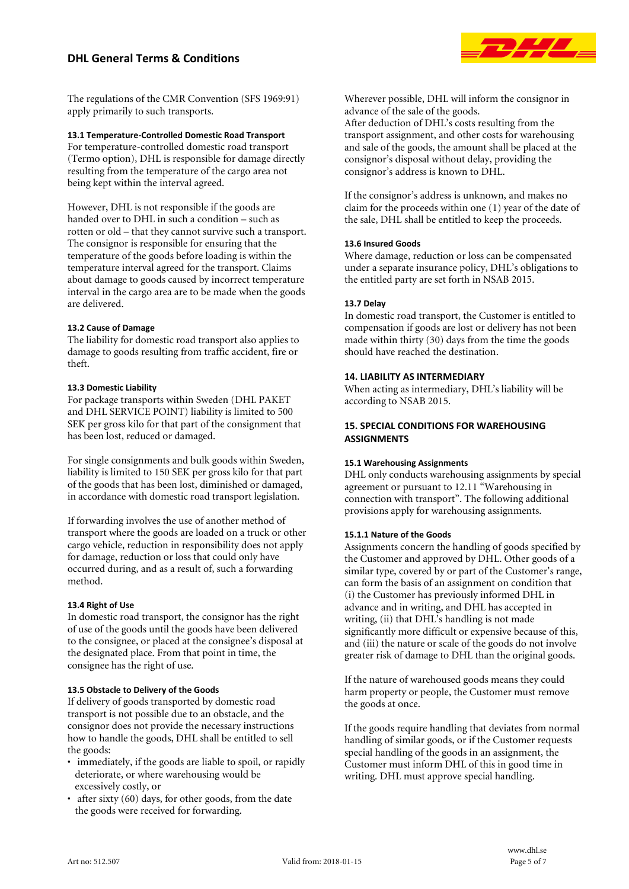# **DHL General Terms & Conditions**



The regulations of the CMR Convention (SFS 1969:91) apply primarily to such transports.

## **13.1 Temperature-Controlled Domestic Road Transport**

For temperature-controlled domestic road transport (Termo option), DHL is responsible for damage directly resulting from the temperature of the cargo area not being kept within the interval agreed.

However, DHL is not responsible if the goods are handed over to DHL in such a condition – such as rotten or old – that they cannot survive such a transport. The consignor is responsible for ensuring that the temperature of the goods before loading is within the temperature interval agreed for the transport. Claims about damage to goods caused by incorrect temperature interval in the cargo area are to be made when the goods are delivered.

## **13.2 Cause of Damage**

The liability for domestic road transport also applies to damage to goods resulting from traffic accident, fire or theft.

## **13.3 Domestic Liability**

For package transports within Sweden (DHL PAKET and DHL SERVICE POINT) liability is limited to 500 SEK per gross kilo for that part of the consignment that has been lost, reduced or damaged.

For single consignments and bulk goods within Sweden, liability is limited to 150 SEK per gross kilo for that part of the goods that has been lost, diminished or damaged, in accordance with domestic road transport legislation.

If forwarding involves the use of another method of transport where the goods are loaded on a truck or other cargo vehicle, reduction in responsibility does not apply for damage, reduction or loss that could only have occurred during, and as a result of, such a forwarding method.

## **13.4 Right of Use**

In domestic road transport, the consignor has the right of use of the goods until the goods have been delivered to the consignee, or placed at the consignee's disposal at the designated place. From that point in time, the consignee has the right of use.

## **13.5 Obstacle to Delivery of the Goods**

If delivery of goods transported by domestic road transport is not possible due to an obstacle, and the consignor does not provide the necessary instructions how to handle the goods, DHL shall be entitled to sell the goods:

- immediately, if the goods are liable to spoil, or rapidly deteriorate, or where warehousing would be excessively costly, or
- after sixty (60) days, for other goods, from the date the goods were received for forwarding.

Wherever possible, DHL will inform the consignor in advance of the sale of the goods.

After deduction of DHL's costs resulting from the transport assignment, and other costs for warehousing and sale of the goods, the amount shall be placed at the consignor's disposal without delay, providing the consignor's address is known to DHL.

If the consignor's address is unknown, and makes no claim for the proceeds within one (1) year of the date of the sale, DHL shall be entitled to keep the proceeds.

## **13.6 Insured Goods**

Where damage, reduction or loss can be compensated under a separate insurance policy, DHL's obligations to the entitled party are set forth in NSAB 2015.

## **13.7 Delay**

In domestic road transport, the Customer is entitled to compensation if goods are lost or delivery has not been made within thirty (30) days from the time the goods should have reached the destination.

## **14. LIABILITY AS INTERMEDIARY**

When acting as intermediary, DHL's liability will be according to NSAB 2015.

## **15. SPECIAL CONDITIONS FOR WAREHOUSING ASSIGNMENTS**

## **15.1 Warehousing Assignments**

DHL only conducts warehousing assignments by special agreement or pursuant to 12.11 "Warehousing in connection with transport". The following additional provisions apply for warehousing assignments.

## **15.1.1 Nature of the Goods**

Assignments concern the handling of goods specified by the Customer and approved by DHL. Other goods of a similar type, covered by or part of the Customer's range, can form the basis of an assignment on condition that (i) the Customer has previously informed DHL in advance and in writing, and DHL has accepted in writing, (ii) that DHL's handling is not made significantly more difficult or expensive because of this, and (iii) the nature or scale of the goods do not involve greater risk of damage to DHL than the original goods.

If the nature of warehoused goods means they could harm property or people, the Customer must remove the goods at once.

If the goods require handling that deviates from normal handling of similar goods, or if the Customer requests special handling of the goods in an assignment, the Customer must inform DHL of this in good time in writing. DHL must approve special handling.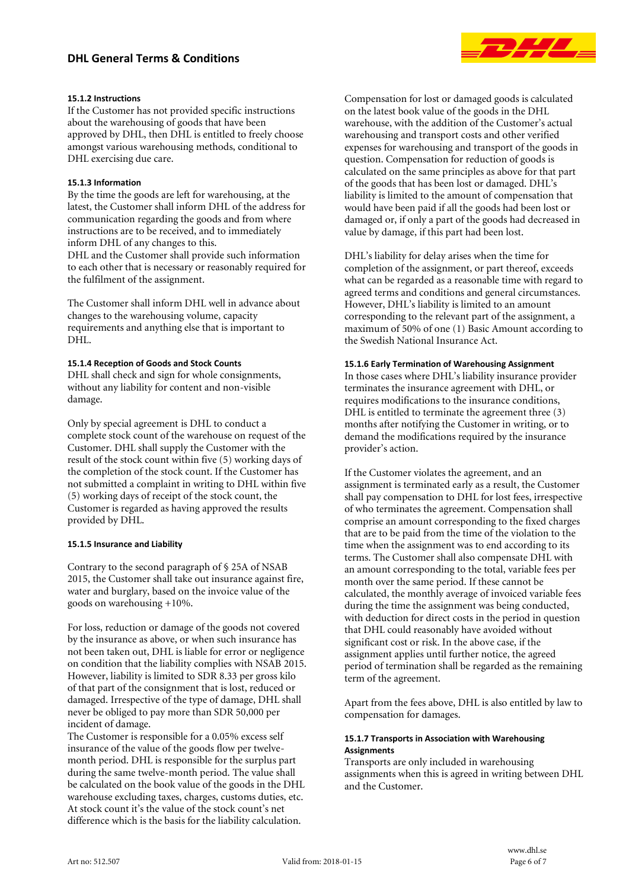# **DHL General Terms & Conditions**



### **15.1.2 Instructions**

If the Customer has not provided specific instructions about the warehousing of goods that have been approved by DHL, then DHL is entitled to freely choose amongst various warehousing methods, conditional to DHL exercising due care.

### **15.1.3 Information**

By the time the goods are left for warehousing, at the latest, the Customer shall inform DHL of the address for communication regarding the goods and from where instructions are to be received, and to immediately inform DHL of any changes to this. DHL and the Customer shall provide such information

to each other that is necessary or reasonably required for the fulfilment of the assignment.

The Customer shall inform DHL well in advance about changes to the warehousing volume, capacity requirements and anything else that is important to DHL.

#### **15.1.4 Reception of Goods and Stock Counts**

DHL shall check and sign for whole consignments, without any liability for content and non-visible damage.

Only by special agreement is DHL to conduct a complete stock count of the warehouse on request of the Customer. DHL shall supply the Customer with the result of the stock count within five (5) working days of the completion of the stock count. If the Customer has not submitted a complaint in writing to DHL within five (5) working days of receipt of the stock count, the Customer is regarded as having approved the results provided by DHL.

#### **15.1.5 Insurance and Liability**

Contrary to the second paragraph of § 25A of NSAB 2015, the Customer shall take out insurance against fire, water and burglary, based on the invoice value of the goods on warehousing +10%.

For loss, reduction or damage of the goods not covered by the insurance as above, or when such insurance has not been taken out, DHL is liable for error or negligence on condition that the liability complies with NSAB 2015. However, liability is limited to SDR 8.33 per gross kilo of that part of the consignment that is lost, reduced or damaged. Irrespective of the type of damage, DHL shall never be obliged to pay more than SDR 50,000 per incident of damage.

The Customer is responsible for a 0.05% excess self insurance of the value of the goods flow per twelvemonth period. DHL is responsible for the surplus part during the same twelve-month period. The value shall be calculated on the book value of the goods in the DHL warehouse excluding taxes, charges, customs duties, etc. At stock count it's the value of the stock count's net difference which is the basis for the liability calculation.

Compensation for lost or damaged goods is calculated on the latest book value of the goods in the DHL warehouse, with the addition of the Customer's actual warehousing and transport costs and other verified expenses for warehousing and transport of the goods in question. Compensation for reduction of goods is calculated on the same principles as above for that part of the goods that has been lost or damaged. DHL's liability is limited to the amount of compensation that would have been paid if all the goods had been lost or damaged or, if only a part of the goods had decreased in value by damage, if this part had been lost.

DHL's liability for delay arises when the time for completion of the assignment, or part thereof, exceeds what can be regarded as a reasonable time with regard to agreed terms and conditions and general circumstances. However, DHL's liability is limited to an amount corresponding to the relevant part of the assignment, a maximum of 50% of one (1) Basic Amount according to the Swedish National Insurance Act.

#### **15.1.6 Early Termination of Warehousing Assignment**

In those cases where DHL's liability insurance provider terminates the insurance agreement with DHL, or requires modifications to the insurance conditions,  $DHL$  is entitled to terminate the agreement three  $(3)$ months after notifying the Customer in writing, or to demand the modifications required by the insurance provider's action.

If the Customer violates the agreement, and an assignment is terminated early as a result, the Customer shall pay compensation to DHL for lost fees, irrespective of who terminates the agreement. Compensation shall comprise an amount corresponding to the fixed charges that are to be paid from the time of the violation to the time when the assignment was to end according to its terms. The Customer shall also compensate DHL with an amount corresponding to the total, variable fees per month over the same period. If these cannot be calculated, the monthly average of invoiced variable fees during the time the assignment was being conducted, with deduction for direct costs in the period in question that DHL could reasonably have avoided without significant cost or risk. In the above case, if the assignment applies until further notice, the agreed period of termination shall be regarded as the remaining term of the agreement.

Apart from the fees above, DHL is also entitled by law to compensation for damages.

#### **15.1.7 Transports in Association with Warehousing Assignments**

Transports are only included in warehousing assignments when this is agreed in writing between DHL and the Customer.